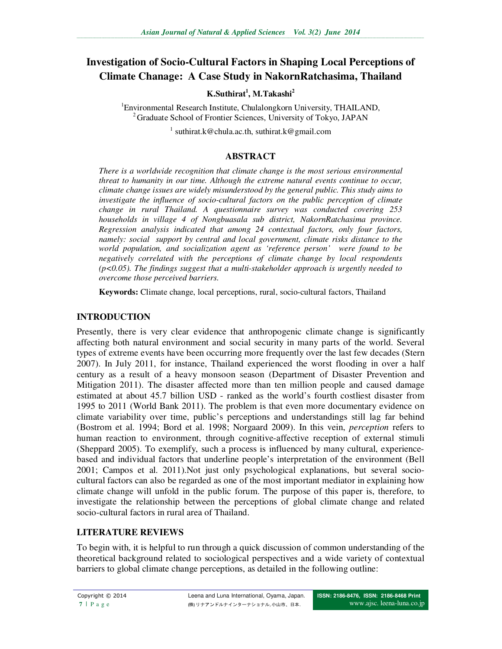# **Investigation of Socio-Cultural Factors in Shaping Local Perceptions of Climate Chanage: A Case Study in NakornRatchasima, Thailand**

**K.Suthirat<sup>1</sup> , M.Takashi<sup>2</sup>**

1 Environmental Research Institute, Chulalongkorn University, THAILAND, <sup>2</sup> Graduate School of Frontier Sciences, University of Tokyo, JAPAN

1 suthirat.k@chula.ac.th, suthirat.k@gmail.com

#### **ABSTRACT**

*There is a worldwide recognition that climate change is the most serious environmental threat to humanity in our time. Although the extreme natural events continue to occur, climate change issues are widely misunderstood by the general public. This study aims to investigate the influence of socio-cultural factors on the public perception of climate change in rural Thailand. A questionnaire survey was conducted covering 253 households in village 4 of Nongbuasala sub district, NakornRatchasima province. Regression analysis indicated that among 24 contextual factors, only four factors, namely: social support by central and local government, climate risks distance to the world population, and socialization agent as 'reference person' were found to be negatively correlated with the perceptions of climate change by local respondents (p<0.05). The findings suggest that a multi-stakeholder approach is urgently needed to overcome those perceived barriers.* 

**Keywords:** Climate change, local perceptions, rural, socio-cultural factors, Thailand

#### **INTRODUCTION**

Presently, there is very clear evidence that anthropogenic climate change is significantly affecting both natural environment and social security in many parts of the world. Several types of extreme events have been occurring more frequently over the last few decades (Stern 2007). In July 2011, for instance, Thailand experienced the worst flooding in over a half century as a result of a heavy monsoon season (Department of Disaster Prevention and Mitigation 2011). The disaster affected more than ten million people and caused damage estimated at about 45.7 billion USD - ranked as the world's fourth costliest disaster from 1995 to 2011 (World Bank 2011). The problem is that even more documentary evidence on climate variability over time, public's perceptions and understandings still lag far behind (Bostrom et al. 1994; Bord et al. 1998; Norgaard 2009). In this vein, *perception* refers to human reaction to environment, through cognitive-affective reception of external stimuli (Sheppard 2005). To exemplify, such a process is influenced by many cultural, experiencebased and individual factors that underline people's interpretation of the environment (Bell 2001; Campos et al. 2011).Not just only psychological explanations, but several sociocultural factors can also be regarded as one of the most important mediator in explaining how climate change will unfold in the public forum. The purpose of this paper is, therefore, to investigate the relationship between the perceptions of global climate change and related socio-cultural factors in rural area of Thailand.

## **LITERATURE REVIEWS**

To begin with, it is helpful to run through a quick discussion of common understanding of the theoretical background related to sociological perspectives and a wide variety of contextual barriers to global climate change perceptions, as detailed in the following outline: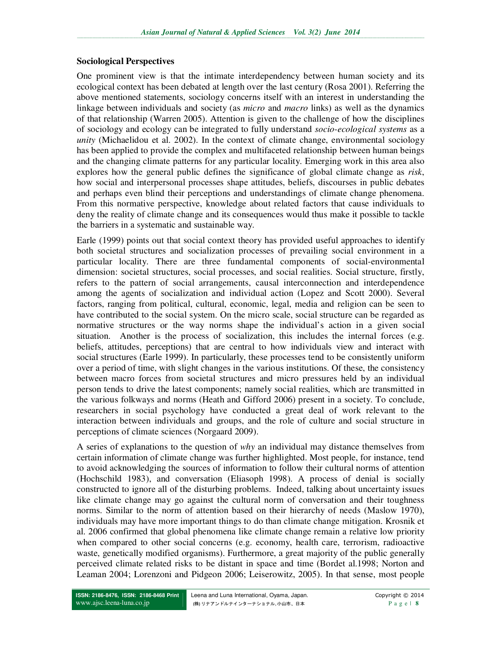### **Sociological Perspectives**

One prominent view is that the intimate interdependency between human society and its ecological context has been debated at length over the last century (Rosa 2001). Referring the above mentioned statements, sociology concerns itself with an interest in understanding the linkage between individuals and society (as *micro* and *macro* links) as well as the dynamics of that relationship (Warren 2005). Attention is given to the challenge of how the disciplines of sociology and ecology can be integrated to fully understand *socio-ecological systems* as a *unity* (Michaelidou et al. 2002). In the context of climate change, environmental sociology has been applied to provide the complex and multifaceted relationship between human beings and the changing climate patterns for any particular locality. Emerging work in this area also explores how the general public defines the significance of global climate change as *risk*, how social and interpersonal processes shape attitudes, beliefs, discourses in public debates and perhaps even blind their perceptions and understandings of climate change phenomena. From this normative perspective, knowledge about related factors that cause individuals to deny the reality of climate change and its consequences would thus make it possible to tackle the barriers in a systematic and sustainable way.

Earle (1999) points out that social context theory has provided useful approaches to identify both societal structures and socialization processes of prevailing social environment in a particular locality. There are three fundamental components of social-environmental dimension: societal structures, social processes, and social realities. Social structure, firstly, refers to the pattern of social arrangements, causal interconnection and interdependence among the agents of socialization and individual action (Lopez and Scott 2000). Several factors, ranging from political, cultural, economic, legal, media and religion can be seen to have contributed to the social system. On the micro scale, social structure can be regarded as normative structures or the way norms shape the individual's action in a given social situation. Another is the process of socialization, this includes the internal forces (e.g. beliefs, attitudes, perceptions) that are central to how individuals view and interact with social structures (Earle 1999). In particularly, these processes tend to be consistently uniform over a period of time, with slight changes in the various institutions. Of these, the consistency between macro forces from societal structures and micro pressures held by an individual person tends to drive the latest components; namely social realities, which are transmitted in the various folkways and norms (Heath and Gifford 2006) present in a society. To conclude, researchers in social psychology have conducted a great deal of work relevant to the interaction between individuals and groups, and the role of culture and social structure in perceptions of climate sciences (Norgaard 2009).

A series of explanations to the question of *why* an individual may distance themselves from certain information of climate change was further highlighted. Most people, for instance, tend to avoid acknowledging the sources of information to follow their cultural norms of attention (Hochschild 1983), and conversation (Eliasoph 1998). A process of denial is socially constructed to ignore all of the disturbing problems. Indeed, talking about uncertainty issues like climate change may go against the cultural norm of conversation and their toughness norms. Similar to the norm of attention based on their hierarchy of needs (Maslow 1970), individuals may have more important things to do than climate change mitigation. Krosnik et al. 2006 confirmed that global phenomena like climate change remain a relative low priority when compared to other social concerns (e.g. economy, health care, terrorism, radioactive waste, genetically modified organisms). Furthermore, a great majority of the public generally perceived climate related risks to be distant in space and time (Bordet al.1998; Norton and Leaman 2004; Lorenzoni and Pidgeon 2006; Leiserowitz, 2005). In that sense, most people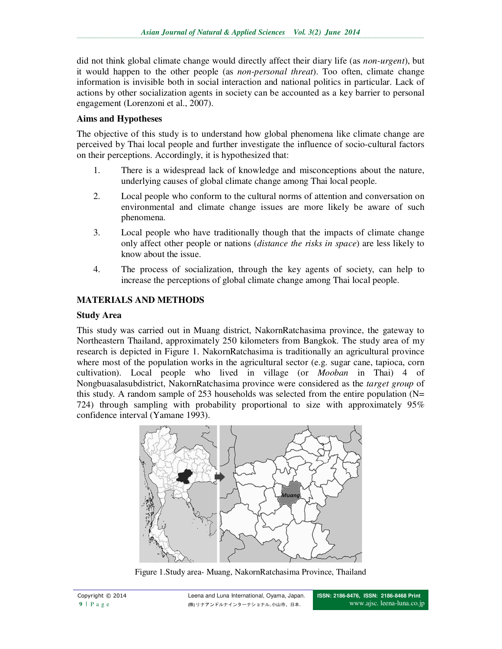did not think global climate change would directly affect their diary life (as *non-urgent*), but it would happen to the other people (as *non-personal threat*). Too often, climate change information is invisible both in social interaction and national politics in particular. Lack of actions by other socialization agents in society can be accounted as a key barrier to personal engagement (Lorenzoni et al., 2007).

## **Aims and Hypotheses**

The objective of this study is to understand how global phenomena like climate change are perceived by Thai local people and further investigate the influence of socio-cultural factors on their perceptions. Accordingly, it is hypothesized that:

- 1. There is a widespread lack of knowledge and misconceptions about the nature, underlying causes of global climate change among Thai local people.
- 2. Local people who conform to the cultural norms of attention and conversation on environmental and climate change issues are more likely be aware of such phenomena.
- 3. Local people who have traditionally though that the impacts of climate change only affect other people or nations (*distance the risks in space*) are less likely to know about the issue.
- 4. The process of socialization, through the key agents of society, can help to increase the perceptions of global climate change among Thai local people.

# **MATERIALS AND METHODS**

## **Study Area**

This study was carried out in Muang district, NakornRatchasima province, the gateway to Northeastern Thailand, approximately 250 kilometers from Bangkok. The study area of my research is depicted in Figure 1. NakornRatchasima is traditionally an agricultural province where most of the population works in the agricultural sector (e.g. sugar cane, tapioca, corn cultivation). Local people who lived in village (or *Mooban* in Thai) 4 of Nongbuasalasubdistrict, NakornRatchasima province were considered as the *target group* of this study. A random sample of 253 households was selected from the entire population (N= 724) through sampling with probability proportional to size with approximately 95% confidence interval (Yamane 1993).



Figure 1.Study area- Muang, NakornRatchasima Province, Thailand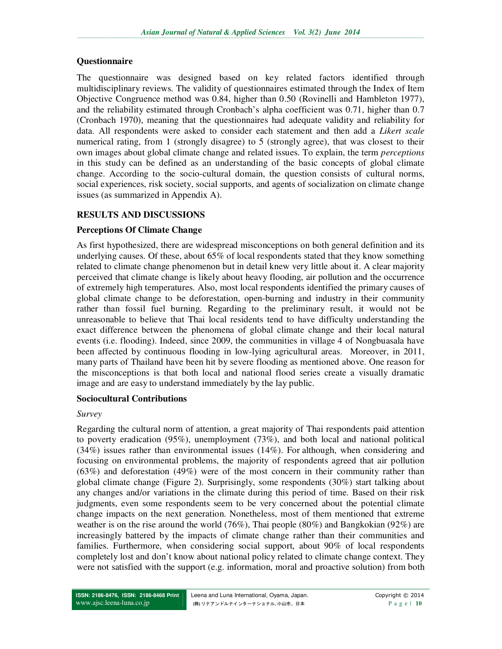## **Questionnaire**

The questionnaire was designed based on key related factors identified through multidisciplinary reviews. The validity of questionnaires estimated through the Index of Item Objective Congruence method was 0.84, higher than 0.50 (Rovinelli and Hambleton 1977), and the reliability estimated through Cronbach's alpha coefficient was 0.71, higher than 0.7 (Cronbach 1970), meaning that the questionnaires had adequate validity and reliability for data. All respondents were asked to consider each statement and then add a *Likert scale* numerical rating, from 1 (strongly disagree) to 5 (strongly agree), that was closest to their own images about global climate change and related issues. To explain, the term *perceptions*  in this study can be defined as an understanding of the basic concepts of global climate change. According to the socio-cultural domain, the question consists of cultural norms, social experiences, risk society, social supports, and agents of socialization on climate change issues (as summarized in Appendix A).

# **RESULTS AND DISCUSSIONS**

# **Perceptions Of Climate Change**

As first hypothesized, there are widespread misconceptions on both general definition and its underlying causes. Of these, about 65% of local respondents stated that they know something related to climate change phenomenon but in detail knew very little about it. A clear majority perceived that climate change is likely about heavy flooding, air pollution and the occurrence of extremely high temperatures. Also, most local respondents identified the primary causes of global climate change to be deforestation, open-burning and industry in their community rather than fossil fuel burning. Regarding to the preliminary result, it would not be unreasonable to believe that Thai local residents tend to have difficulty understanding the exact difference between the phenomena of global climate change and their local natural events (i.e. flooding). Indeed, since 2009, the communities in village 4 of Nongbuasala have been affected by continuous flooding in low-lying agricultural areas. Moreover, in 2011, many parts of Thailand have been hit by severe flooding as mentioned above. One reason for the misconceptions is that both local and national flood series create a visually dramatic image and are easy to understand immediately by the lay public.

## **Sociocultural Contributions**

## *Survey*

Regarding the cultural norm of attention, a great majority of Thai respondents paid attention to poverty eradication (95%), unemployment (73%), and both local and national political (34%) issues rather than environmental issues (14%). For although, when considering and focusing on environmental problems, the majority of respondents agreed that air pollution (63%) and deforestation (49%) were of the most concern in their community rather than global climate change (Figure 2). Surprisingly, some respondents (30%) start talking about any changes and/or variations in the climate during this period of time. Based on their risk judgments, even some respondents seem to be very concerned about the potential climate change impacts on the next generation. Nonetheless, most of them mentioned that extreme weather is on the rise around the world (76%), Thai people (80%) and Bangkokian (92%) are increasingly battered by the impacts of climate change rather than their communities and families. Furthermore, when considering social support, about 90% of local respondents completely lost and don't know about national policy related to climate change context. They were not satisfied with the support (e.g. information, moral and proactive solution) from both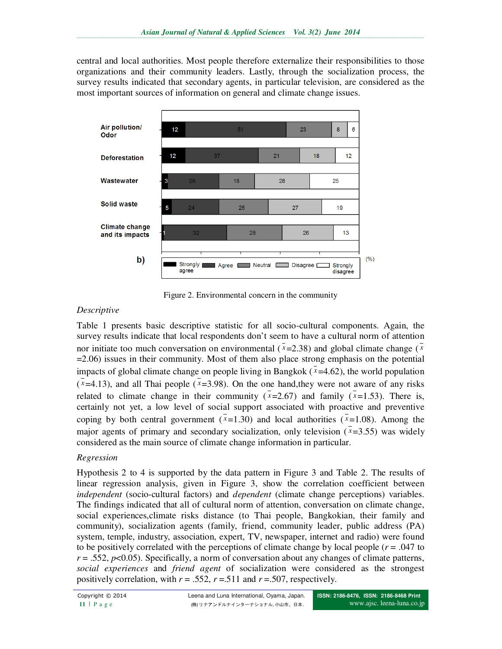central and local authorities. Most people therefore externalize their responsibilities to those organizations and their community leaders. Lastly, through the socialization process, the survey results indicated that secondary agents, in particular television, are considered as the most important sources of information on general and climate change issues.



Figure 2. Environmental concern in the community

## *Descriptive*

Table 1 presents basic descriptive statistic for all socio-cultural components. Again, the survey results indicate that local respondents don't seem to have a cultural norm of attention nor initiate too much conversation on environmental  $(\bar{x}=2.38)$  and global climate change ( $\bar{x}$ ) =2.06) issues in their community. Most of them also place strong emphasis on the potential impacts of global climate change on people living in Bangkok  $(\bar{x}=4.62)$ , the world population  $(x=4.13)$ , and all Thai people  $(x=3.98)$ . On the one hand, they were not aware of any risks related to climate change in their community  $(\bar{x}=2.67)$  and family  $(\bar{x}=1.53)$ . There is, certainly not yet, a low level of social support associated with proactive and preventive coping by both central government  $(\bar{x}=1.30)$  and local authorities  $(\bar{x}=1.08)$ . Among the major agents of primary and secondary socialization, only television  $(x=3.55)$  was widely considered as the main source of climate change information in particular.

### *Regression*

Hypothesis 2 to 4 is supported by the data pattern in Figure 3 and Table 2. The results of linear regression analysis, given in Figure 3, show the correlation coefficient between *independent* (socio-cultural factors) and *dependent* (climate change perceptions) variables. The findings indicated that all of cultural norm of attention, conversation on climate change, social experiences,climate risks distance (to Thai people, Bangkokian, their family and community), socialization agents (family, friend, community leader, public address (PA) system, temple, industry, association, expert, TV, newspaper, internet and radio) were found to be positively correlated with the perceptions of climate change by local people  $(r = .047)$  to  $r = .552$ ,  $p < 0.05$ ). Specifically, a norm of conversation about any changes of climate patterns, *social experiences* and *friend agent* of socialization were considered as the strongest positively correlation, with  $r = .552$ ,  $r = .511$  and  $r = .507$ , respectively.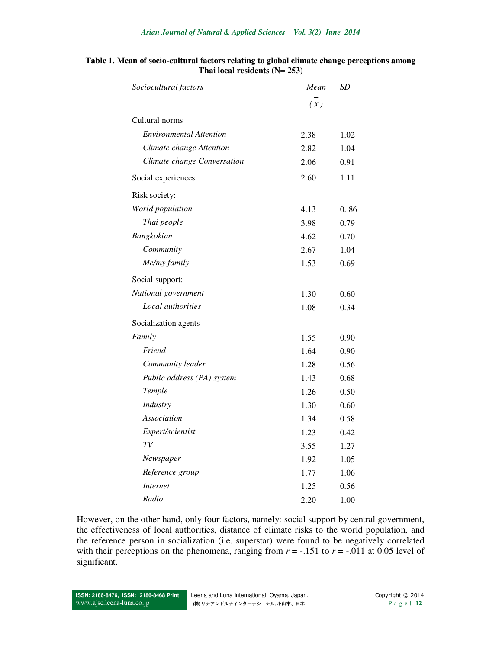| Sociocultural factors       | Mean | <i>SD</i> |  |  |
|-----------------------------|------|-----------|--|--|
|                             | (x)  |           |  |  |
| Cultural norms              |      |           |  |  |
| Environmental Attention     | 2.38 | 1.02      |  |  |
| Climate change Attention    | 2.82 | 1.04      |  |  |
| Climate change Conversation | 2.06 | 0.91      |  |  |
| Social experiences          | 2.60 | 1.11      |  |  |
| Risk society:               |      |           |  |  |
| World population            | 4.13 | 0.86      |  |  |
| Thai people                 | 3.98 | 0.79      |  |  |
| Bangkokian                  | 4.62 | 0.70      |  |  |
| Community                   | 2.67 | 1.04      |  |  |
| Me/my family                | 1.53 | 0.69      |  |  |
| Social support:             |      |           |  |  |
| National government         | 1.30 | 0.60      |  |  |
| Local authorities           | 1.08 | 0.34      |  |  |
| Socialization agents        |      |           |  |  |
| Family                      | 1.55 | 0.90      |  |  |
| Friend                      | 1.64 | 0.90      |  |  |
| Community leader            | 1.28 | 0.56      |  |  |
| Public address (PA) system  | 1.43 | 0.68      |  |  |
| Temple                      | 1.26 | 0.50      |  |  |
| Industry                    | 1.30 | 0.60      |  |  |
| Association                 | 1.34 | 0.58      |  |  |
| Expert/scientist            | 1.23 | 0.42      |  |  |
| TV                          | 3.55 | 1.27      |  |  |
| Newspaper                   | 1.92 | 1.05      |  |  |
| Reference group             | 1.77 | 1.06      |  |  |
| <b>Internet</b>             | 1.25 | 0.56      |  |  |
| Radio                       | 2.20 | 1.00      |  |  |

#### **Table 1. Mean of socio-cultural factors relating to global climate change perceptions among Thai local residents (N= 253)**

L.

However, on the other hand, only four factors, namely: social support by central government, the effectiveness of local authorities, distance of climate risks to the world population, and the reference person in socialization (i.e. superstar) were found to be negatively correlated with their perceptions on the phenomena, ranging from  $r = -.151$  to  $r = -.011$  at 0.05 level of significant.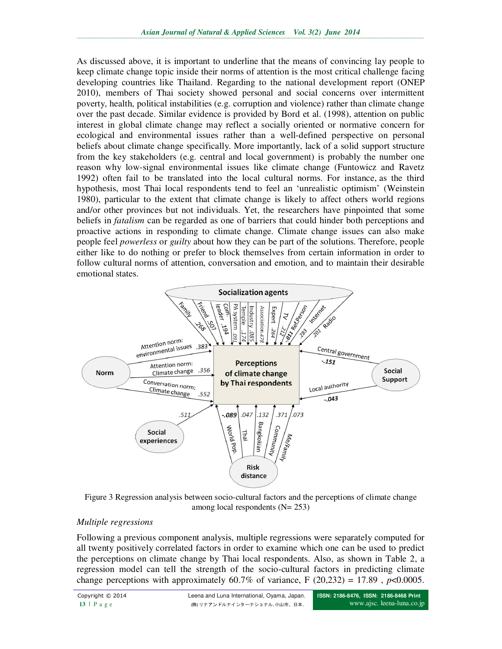As discussed above, it is important to underline that the means of convincing lay people to keep climate change topic inside their norms of attention is the most critical challenge facing developing countries like Thailand. Regarding to the national development report (ONEP 2010), members of Thai society showed personal and social concerns over intermittent poverty, health, political instabilities (e.g. corruption and violence) rather than climate change over the past decade. Similar evidence is provided by Bord et al. (1998), attention on public interest in global climate change may reflect a socially oriented or normative concern for ecological and environmental issues rather than a well-defined perspective on personal beliefs about climate change specifically. More importantly, lack of a solid support structure from the key stakeholders (e.g. central and local government) is probably the number one reason why low-signal environmental issues like climate change (Funtowicz and Ravetz 1992) often fail to be translated into the local cultural norms. For instance, as the third hypothesis, most Thai local respondents tend to feel an 'unrealistic optimism' (Weinstein 1980), particular to the extent that climate change is likely to affect others world regions and/or other provinces but not individuals. Yet, the researchers have pinpointed that some beliefs in *fatalism* can be regarded as one of barriers that could hinder both perceptions and proactive actions in responding to climate change. Climate change issues can also make people feel *powerless* or *guilty* about how they can be part of the solutions. Therefore, people either like to do nothing or prefer to block themselves from certain information in order to follow cultural norms of attention, conversation and emotion, and to maintain their desirable emotional states.



Figure 3 Regression analysis between socio-cultural factors and the perceptions of climate change among local respondents  $(N= 253)$ 

## *Multiple regressions*

Following a previous component analysis, multiple regressions were separately computed for all twenty positively correlated factors in order to examine which one can be used to predict the perceptions on climate change by Thai local respondents. Also, as shown in Table 2, a regression model can tell the strength of the socio-cultural factors in predicting climate change perceptions with approximately 60.7% of variance, F  $(20,232) = 17.89$ ,  $p < 0.0005$ .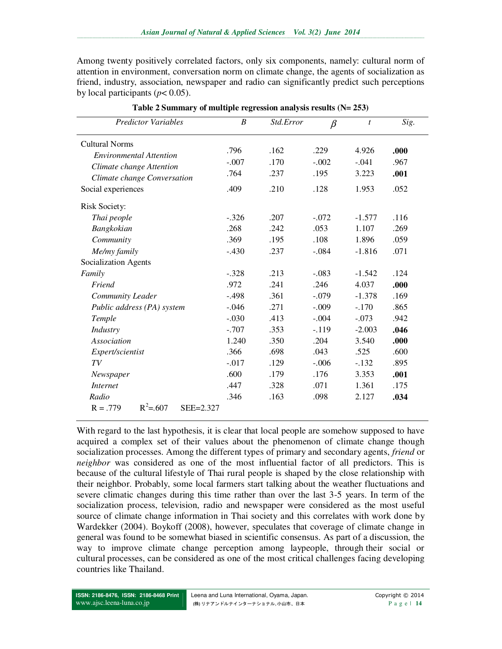Among twenty positively correlated factors, only six components, namely: cultural norm of attention in environment, conversation norm on climate change, the agents of socialization as friend, industry, association, newspaper and radio can significantly predict such perceptions by local participants ( $p < 0.05$ ).

| <b>Predictor Variables</b>             | $\boldsymbol{B}$ | Std.Error | $\beta$ | $\mathfrak{t}$ | Sig. |
|----------------------------------------|------------------|-----------|---------|----------------|------|
| <b>Cultural Norms</b>                  |                  |           |         |                |      |
| <b>Environmental Attention</b>         | .796             | .162      | .229    | 4.926          | .000 |
| Climate change Attention               | $-.007$          | .170      | $-.002$ | $-.041$        | .967 |
| Climate change Conversation            | .764             | .237      | .195    | 3.223          | .001 |
| Social experiences                     | .409             | .210      | .128    | 1.953          | .052 |
|                                        |                  |           |         |                |      |
| <b>Risk Society:</b>                   |                  |           |         |                |      |
| Thai people                            | $-.326$          | .207      | $-.072$ | $-1.577$       | .116 |
| Bangkokian                             | .268             | .242      | .053    | 1.107          | .269 |
| Community                              | .369             | .195      | .108    | 1.896          | .059 |
| Me/my family                           | $-.430$          | .237      | $-.084$ | $-1.816$       | .071 |
| Socialization Agents                   |                  |           |         |                |      |
| Family                                 | $-.328$          | .213      | $-.083$ | $-1.542$       | .124 |
| Friend                                 | .972             | .241      | .246    | 4.037          | .000 |
| Community Leader                       | $-.498$          | .361      | $-.079$ | $-1.378$       | .169 |
| Public address (PA) system             | $-.046$          | .271      | $-.009$ | $-.170$        | .865 |
| Temple                                 | $-.030$          | .413      | $-.004$ | $-.073$        | .942 |
| Industry                               | $-.707$          | .353      | $-.119$ | $-2.003$       | .046 |
| <b>Association</b>                     | 1.240            | .350      | .204    | 3.540          | .000 |
| Expert/scientist                       | .366             | .698      | .043    | .525           | .600 |
| TV                                     | $-.017$          | .129      | $-.006$ | $-.132$        | .895 |
| Newspaper                              | .600             | .179      | .176    | 3.353          | .001 |
| <i>Internet</i>                        | .447             | .328      | .071    | 1.361          | .175 |
| Radio                                  | .346             | .163      | .098    | 2.127          | .034 |
| $R^2 = 607$<br>$R = .779$<br>SEE=2.327 |                  |           |         |                |      |

**Table 2 Summary of multiple regression analysis results (N= 253)** 

With regard to the last hypothesis, it is clear that local people are somehow supposed to have acquired a complex set of their values about the phenomenon of climate change though socialization processes. Among the different types of primary and secondary agents, *friend* or *neighbor* was considered as one of the most influential factor of all predictors. This is because of the cultural lifestyle of Thai rural people is shaped by the close relationship with their neighbor. Probably, some local farmers start talking about the weather fluctuations and severe climatic changes during this time rather than over the last 3-5 years. In term of the socialization process, television, radio and newspaper were considered as the most useful source of climate change information in Thai society and this correlates with work done by Wardekker (2004). Boykoff (2008), however, speculates that coverage of climate change in general was found to be somewhat biased in scientific consensus. As part of a discussion, the way to improve climate change perception among laypeople, through their social or cultural processes, can be considered as one of the most critical challenges facing developing countries like Thailand.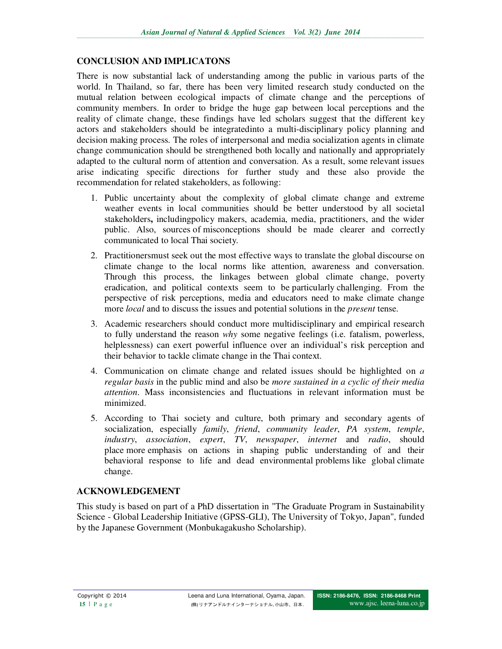## **CONCLUSION AND IMPLICATONS**

There is now substantial lack of understanding among the public in various parts of the world. In Thailand, so far, there has been very limited research study conducted on the mutual relation between ecological impacts of climate change and the perceptions of community members. In order to bridge the huge gap between local perceptions and the reality of climate change, these findings have led scholars suggest that the different key actors and stakeholders should be integratedinto a multi-disciplinary policy planning and decision making process. The roles of interpersonal and media socialization agents in climate change communication should be strengthened both locally and nationally and appropriately adapted to the cultural norm of attention and conversation. As a result, some relevant issues arise indicating specific directions for further study and these also provide the recommendation for related stakeholders, as following:

- 1. Public uncertainty about the complexity of global climate change and extreme weather events in local communities should be better understood by all societal stakeholders**,** includingpolicy makers, academia, media, practitioners, and the wider public. Also, sources of misconceptions should be made clearer and correctly communicated to local Thai society.
- 2. Practitionersmust seek out the most effective ways to translate the global discourse on climate change to the local norms like attention, awareness and conversation. Through this process, the linkages between global climate change, poverty eradication, and political contexts seem to be particularly challenging. From the perspective of risk perceptions, media and educators need to make climate change more *local* and to discuss the issues and potential solutions in the *present* tense.
- 3. Academic researchers should conduct more multidisciplinary and empirical research to fully understand the reason *why* some negative feelings (i.e. fatalism, powerless, helplessness) can exert powerful influence over an individual's risk perception and their behavior to tackle climate change in the Thai context.
- 4. Communication on climate change and related issues should be highlighted on *a regular basis* in the public mind and also be *more sustained in a cyclic of their media attention*. Mass inconsistencies and fluctuations in relevant information must be minimized.
- 5. According to Thai society and culture, both primary and secondary agents of socialization, especially *family*, *friend*, *community leader*, *PA system*, *temple*, *industry*, *association*, *expert*, *TV*, *newspaper*, *internet* and *radio*, should place more emphasis on actions in shaping public understanding of and their behavioral response to life and dead environmental problems like global climate change.

# **ACKNOWLEDGEMENT**

This study is based on part of a PhD dissertation in "The Graduate Program in Sustainability Science - Global Leadership Initiative (GPSS-GLI), The University of Tokyo, Japan", funded by the Japanese Government (Monbukagakusho Scholarship).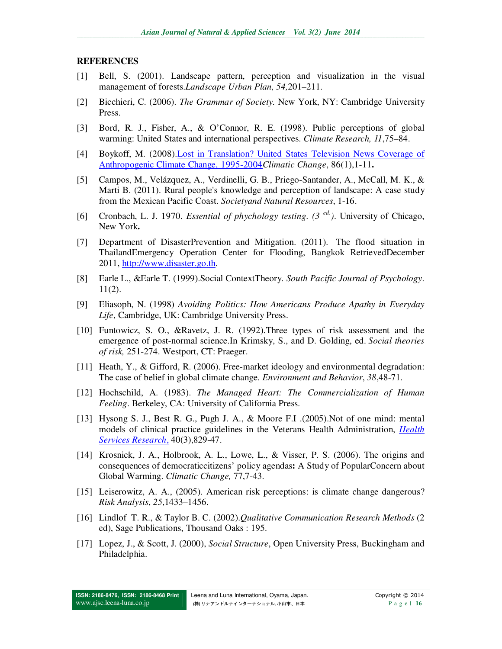### **REFERENCES**

- [1] Bell, S. (2001). Landscape pattern, perception and visualization in the visual management of forests.*Landscape Urban Plan, 54,*201–211.
- [2] Bicchieri, C. (2006). *The Grammar of Society*. New York, NY: Cambridge University Press.
- [3] Bord, R. J., Fisher, A., & O'Connor, R. E. (1998). Public perceptions of global warming: United States and international perspectives. *Climate Research, 11*,75–84.
- [4] Boykoff, M. (2008).Lost in Translation? United States Television News Coverage of Anthropogenic Climate Change, 1995-2004*Climatic Change*, 86(1),1-11**.**
- [5] Campos, M., Velázquez, A., Verdinelli, G. B., Priego-Santander, A., McCall, M. K., & Marti B. (2011). Rural people's knowledge and perception of landscape: A case study from the Mexican Pacific Coast. *Societyand Natural Resources*, 1-16.
- [6] Cronbach, L. J. 1970. *Essential of phychology testing. (3 ed*. *)*. University of Chicago, New York**.**
- [7] Department of DisasterPrevention and Mitigation. (2011). The flood situation in ThailandEmergency Operation Center for Flooding, Bangkok RetrievedDecember 2011, http://www.disaster.go.th.
- [8] Earle L., &Earle T. (1999).Social ContextTheory. *South Pacific Journal of Psychology*. 11(2).
- [9] Eliasoph, N. (1998) *Avoiding Politics: How Americans Produce Apathy in Everyday Life*, Cambridge, UK: Cambridge University Press.
- [10] Funtowicz, S. O., &Ravetz, J. R. (1992).Three types of risk assessment and the emergence of post-normal science.In Krimsky, S., and D. Golding, ed. *Social theories of risk,* 251-274. Westport, CT: Praeger.
- [11] Heath, Y., & Gifford, R. (2006). Free-market ideology and environmental degradation: The case of belief in global climate change. *Environment and Behavior*, *38*,48-71.
- [12] Hochschild, A. (1983). *The Managed Heart: The Commercialization of Human Feeling*. Berkeley, CA: University of California Press.
- [13] Hysong S. J., Best R. G., Pugh J. A., & Moore F.I .(2005).Not of one mind: mental models of clinical practice guidelines in the Veterans Health Administration, *Health Services Research*, 40(3),829-47.
- [14] Krosnick, J. A., Holbrook, A. L., Lowe, L., & Visser, P. S. (2006). The origins and consequences of democraticcitizens' policy agendas**:** A Study of PopularConcern about Global Warming. *Climatic Change,* 77,7-43.
- [15] Leiserowitz, A. A., (2005). American risk perceptions: is climate change dangerous? *Risk Analysis*, *25*,1433–1456.
- [16] Lindlof T. R., & Taylor B. C. (2002).*Qualitative Communication Research Methods* (2 ed), Sage Publications, Thousand Oaks : 195.
- [17] Lopez, J., & Scott, J. (2000), *Social Structure*, Open University Press, Buckingham and Philadelphia.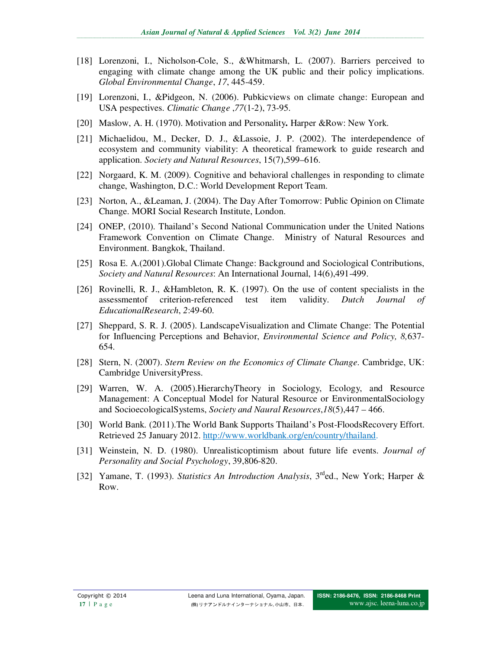- [18] Lorenzoni, I., Nicholson-Cole, S., &Whitmarsh, L. (2007). Barriers perceived to engaging with climate change among the UK public and their policy implications. *Global Environmental Change*, *17*, 445-459.
- [19] Lorenzoni, I., &Pidgeon, N. (2006). Pubkicviews on climate change: European and USA pespectives. *Climatic Change* ,*77*(1-2), 73-95.
- [20] Maslow, A. H. (1970). Motivation and Personality**.** Harper &Row: New York.
- [21] Michaelidou, M., Decker, D. J., &Lassoie, J. P. (2002). The interdependence of ecosystem and community viability: A theoretical framework to guide research and application. *Society and Natural Resources*, 15(7),599–616.
- [22] Norgaard, K. M. (2009). Cognitive and behavioral challenges in responding to climate change, Washington, D.C.: World Development Report Team.
- [23] Norton, A., &Leaman, J. (2004). The Day After Tomorrow: Public Opinion on Climate Change. MORI Social Research Institute, London.
- [24] ONEP, (2010). Thailand's Second National Communication under the United Nations Framework Convention on Climate Change. Ministry of Natural Resources and Environment. Bangkok, Thailand.
- [25] Rosa E. A.(2001).Global Climate Change: Background and Sociological Contributions, *Society and Natural Resources*: An International Journal, 14(6),491-499.
- [26] Rovinelli, R. J., &Hambleton, R. K. (1997). On the use of content specialists in the assessmentof criterion-referenced test item validity. *Dutch Journal of EducationalResearch*, *2*:49-60.
- [27] Sheppard, S. R. J. (2005). LandscapeVisualization and Climate Change: The Potential for Influencing Perceptions and Behavior, *Environmental Science and Policy, 8,*637- 654.
- [28] Stern, N. (2007). *Stern Review on the Economics of Climate Change*. Cambridge, UK: Cambridge UniversityPress.
- [29] Warren, W. A. (2005).HierarchyTheory in Sociology, Ecology, and Resource Management: A Conceptual Model for Natural Resource or EnvironmentalSociology and SocioecologicalSystems, *Society and Naural Resources*,*18*(5),447 – 466.
- [30] World Bank. (2011).The World Bank Supports Thailand's Post-FloodsRecovery Effort. Retrieved 25 January 2012. http://www.worldbank.org/en/country/thailand.
- [31] Weinstein, N. D. (1980). Unrealisticoptimism about future life events. *Journal of Personality and Social Psychology*, 39,806-820.
- [32] Yamane, T. (1993). *Statistics An Introduction Analysis*, 3<sup>rd</sup>ed., New York; Harper & Row.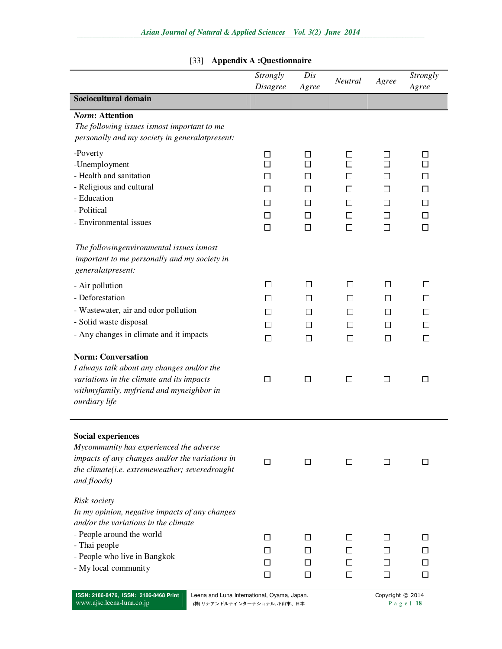| <b>Appendix A :Questionnaire</b><br>$[33]$                                                                                                                                                                   |                                                       |                                       |                                                                                 |                                                                 |                         |
|--------------------------------------------------------------------------------------------------------------------------------------------------------------------------------------------------------------|-------------------------------------------------------|---------------------------------------|---------------------------------------------------------------------------------|-----------------------------------------------------------------|-------------------------|
|                                                                                                                                                                                                              | Strongly<br><b>Disagree</b>                           | Dis<br>Agree                          | Neutral                                                                         | Agree                                                           | Strongly<br>Agree       |
| Sociocultural domain                                                                                                                                                                                         |                                                       |                                       |                                                                                 |                                                                 |                         |
| <b>Norm: Attention</b><br>The following issues ismost important to me<br>personally and my society in generalatpresent:                                                                                      |                                                       |                                       |                                                                                 |                                                                 |                         |
| -Poverty<br>-Unemployment<br>- Health and sanitation<br>- Religious and cultural<br>- Education<br>- Political<br>- Environmental issues                                                                     | ⊔<br>$\Box$<br>$\sqcup$<br>$\sqcup$<br>□<br>□<br>□    | ப<br>П<br>П<br>ΙI<br>П<br>□<br>П      | $\overline{\phantom{a}}$<br>П<br>$\Box$<br>$\Box$<br>$\Box$<br>$\Box$<br>$\Box$ | $\mathsf{I}$<br>$\blacksquare$<br>$\blacksquare$<br>$\Box$<br>П | ΙI<br>ΙI<br>П<br>П<br>П |
| The followingenvironmental issues ismost<br>important to me personally and my society in<br>generalatpresent:                                                                                                |                                                       |                                       |                                                                                 |                                                                 |                         |
| - Air pollution<br>- Deforestation<br>- Wastewater, air and odor pollution<br>- Solid waste disposal<br>- Any changes in climate and it impacts                                                              | $\Box$<br>$\mathsf{L}$<br>$\perp$<br>$\Box$<br>$\Box$ | □<br>$\Box$<br>$\perp$<br>$\Box$<br>□ | П<br>П<br>$\Box$<br>П<br>□                                                      | $\Box$<br>$\Box$<br>$\Box$<br>$\Box$<br>$\Box$                  | $\Box$<br>$\Box$<br>□   |
| <b>Norm: Conversation</b><br>I always talk about any changes and/or the<br>variations in the climate and its impacts<br>withmyfamily, myfriend and myneighbor in<br>ourdiary life                            | □                                                     | $\Box$                                | $\Box$                                                                          | $\Box$                                                          | $\Box$                  |
| <b>Social experiences</b><br>Mycommunity has experienced the adverse<br>impacts of any changes and/or the variations in<br>the climate(i.e. extremeweather; severedrought<br>and floods)                     | $\Box$                                                | $\Box$                                | $\Box$                                                                          | □                                                               | $\Box$                  |
| Risk society<br>In my opinion, negative impacts of any changes<br>and/or the variations in the climate<br>- People around the world<br>- Thai people<br>- People who live in Bangkok<br>- My local community | $\Box$<br>ப<br>ப<br>$\Box$                            | □<br>ΙI<br>ΙI<br>$\Box$               | $\Box$<br>$\Box$<br>l 1<br>□                                                    | П<br>l 1<br>$\Box$                                              | $\mathsf{L}$<br>П       |

# Asian Journal of Natural & Applied Sciences Vol. 3(2) June 2014

**ISSN: 2186-8476, ISSN: 2186-8468 Print**  www.ajsc.leena-luna.co.jp

Leena and Luna International, Oyama, Japan. Copyright © 2014 (株) リナアンドルナインターナショナル, 小山市、日本 **P** a g e | 18